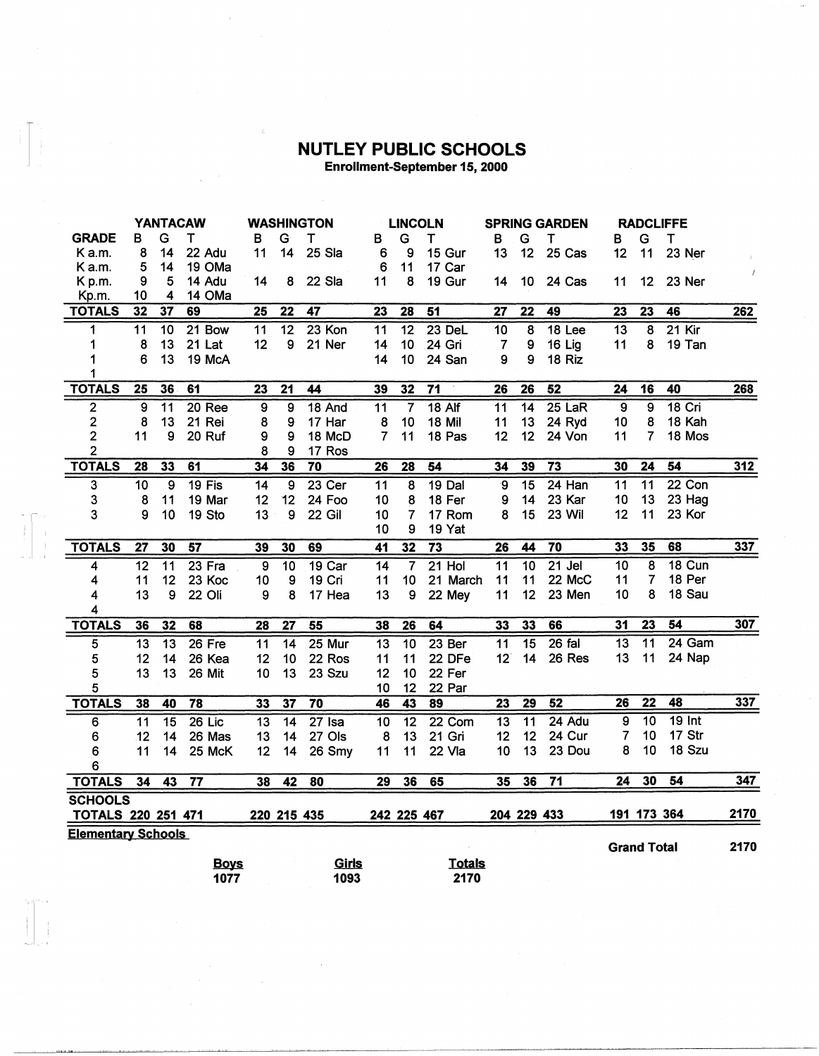## **NUTLEY PUBLIC SCHOOLS**

 $\begin{bmatrix} 1 \\ 1 \\ 1 \\ 1 \end{bmatrix}$ 

Enrollment-September 15, 2000

|                           | <b>YANTACAW</b> |                 |                 |                 | <b>WASHINGTON</b> |             |                 | <b>LINCOLN</b>  |                   |                 | <b>SPRING GARDEN</b> |                 |                    | <b>RADCLIFFE</b>   |                 |      |
|---------------------------|-----------------|-----------------|-----------------|-----------------|-------------------|-------------|-----------------|-----------------|-------------------|-----------------|----------------------|-----------------|--------------------|--------------------|-----------------|------|
| <b>GRADE</b>              | В               | G               | Т               | в               | G                 | т           | в               | G               | T                 | в               | G                    | т               | в                  | G                  | T               |      |
| K a.m.                    | 8               | 14              | 22 Adu          | 11              | 14                | 25 Sla      | 6               | 9               | 15 Gur            | 13              | 12                   | 25 Cas          | 12                 | 11                 | 23 Ner          |      |
| K a.m.                    | 5               | 14              | 19 OMa          |                 |                   |             | 6               | 11              | 17 Car            |                 |                      |                 |                    |                    |                 |      |
| Kp.m.                     | 9               | 5               | 14 Adu          | 14              | 8                 | 22 Sla      | 11              | 8               | 19 Gur            | 14              | 10                   | 24 Cas          | 11                 | 12                 | 23 Ner          |      |
| Kp.m.                     | 10              | 4               | 14 OMa          |                 |                   |             |                 |                 |                   |                 |                      |                 |                    |                    |                 |      |
| <b>TOTALS</b>             | 32              | 37              | 69              | $\overline{25}$ | $\overline{22}$   | 47          | 23              | 28              | $\overline{51}$   | $\overline{27}$ | $\overline{22}$      | 49              | $\overline{23}$    | $\overline{23}$    | $\overline{46}$ | 262  |
| 1                         | $\overline{11}$ | $\overline{10}$ | $21$ Bow        | $\overline{11}$ | $\overline{12}$   | $23$ Kon    | $\overline{11}$ | $\overline{12}$ | $23$ DeL          | $\overline{10}$ | $\overline{8}$       | <b>18 Lee</b>   | $\overline{13}$    | $\overline{8}$     | $21$ Kir        |      |
| 1                         | 8               | 13              | 21 Lat          | 12              | 9                 | 21 Ner      | 14              | 10              | 24 Gri            | 7               | 9                    | 16 Lig          | 11                 | 8                  | 19 Tan          |      |
| 1                         | 6               | 13              | 19 McA          |                 |                   |             | 14              | 10              | 24 San            | 9               | 9                    | 18 Riz          |                    |                    |                 |      |
| 1                         |                 |                 |                 |                 |                   |             |                 |                 |                   |                 |                      |                 |                    |                    |                 |      |
| <b>TOTALS</b>             | 25              | 36              | 61              | 23              | 21                | 44          | 39              | 32              | $\overline{71}$   | 26              | 26                   | 52              | 24                 | 16                 | 40              | 268  |
| $\overline{2}$            | $\overline{9}$  | $\overline{11}$ | 20 Ree          | 9               | 9                 | 18 And      | $\overline{11}$ | $\overline{7}$  | $18$ Alf          | 11              | $\overline{14}$      | $25$ LaR        | 9                  | $\overline{9}$     | $18$ Cri        |      |
| $\overline{2}$            | 8               | 13              | 21 Rei          | 8               | 9                 | 17 Har      | 8               | 10              | <b>18 Mil</b>     | 11              | 13                   | 24 Ryd          | 10                 | 8                  | 18 Kah          |      |
| $\overline{2}$            | 11              | 9               | 20 Ruf          | 9               | 9                 | 18 McD      | 7               | 11              | 18 Pas            | 12              | 12                   | 24 Von          | 11                 | 7                  | 18 Mos          |      |
| $\overline{2}$            |                 |                 |                 | 8               | 9                 | 17 Ros      |                 |                 |                   |                 |                      |                 |                    |                    |                 |      |
| <b>TOTALS</b>             | 28              | 33              | 61              | $\overline{34}$ | 36                | 70          | $\overline{26}$ | $\overline{28}$ | $\overline{54}$   | 34              | 39                   | $\overline{73}$ | 30                 | $\overline{24}$    | 54              | 312  |
| 3                         | 10              | 9               | 19 Fis          | 14              | 9                 | $23$ Cer    | 11              | 8               | 19 Dal            | $\mathbf 9$     | $\overline{15}$      | $24$ Han        | 11                 | $\overline{11}$    | $22$ Con        |      |
| 3                         | 8               | 11              | 19 Mar          | 12              | 12                | 24 Foo      | 10              | 8               | 18 Fer            | 9               | 14                   | 23 Kar          | 10                 | 13                 | 23 Hag          |      |
| 3                         | 9               | 10              | 19 Sto          | 13              | 9                 | 22 Gil      | 10              | 7               | 17 Rom            | 8               | 15                   | 23 Wil          | 12                 | 11                 | 23 Kor          |      |
|                           |                 |                 |                 |                 |                   |             | 10              | 9               | 19 Yat            |                 |                      |                 |                    |                    |                 |      |
| <b>TOTALS</b>             | $\overline{27}$ | 30              | 57              | 39              | 30                | 69          | $\overline{41}$ | $\overline{32}$ | $\overline{73}$   | $\overline{26}$ | 44                   | $\overline{70}$ | 33                 | 35                 | 68              | 337  |
| 4                         | $\overline{12}$ | $\overline{11}$ | $23$ Fra        | 9               | $\overline{10}$   | $19$ Car    | 14              | $\overline{7}$  | $21$ Hol          | $\overline{11}$ | $\overline{10}$      | $21$ Jel        | $\overline{10}$    | $\overline{\bf 8}$ | <b>18 Cun</b>   |      |
| 4                         | 11              | 12              | 23 Koc          | 10              | 9                 | 19 Cri      | 11              | 10              | 21 March          | 11              | 11                   | 22 McC          | 11                 | 7                  | 18 Per          |      |
| 4                         | 13              | 9               | 22 Oli          | 9               | 8                 | 17 Hea      | 13              | 9               | 22 Mey            | 11              | 12                   | 23 Men          | 10                 | 8                  | 18 Sau          |      |
| 4                         |                 |                 |                 |                 |                   |             |                 |                 |                   |                 |                      |                 |                    |                    |                 |      |
| <b>TOTALS</b>             | 36              | $\overline{32}$ | 68              | 28              | 27                | 55          | 38              | 26              | 64                | 33              | 33                   | 66              | 31                 | 23                 | 54              | 307  |
| 5                         | $\overline{13}$ | $\overline{13}$ | $26$ Fre        | $\overline{11}$ | $\overline{14}$   | 25 Mur      | $\overline{13}$ | $\overline{10}$ | 23 <sub>ber</sub> | $\overline{11}$ | $\overline{15}$      | $26$ fal        | 13                 | $\overline{11}$    | 24 Gam          |      |
| 5                         | 12              | 14              | 26 Kea          | 12              | 10                | 22 Ros      | 11              | 11              | 22 DFe            | 12 <sup>1</sup> | 14                   | 26 Res          | 13                 | 11                 | 24 Nap          |      |
| 5                         | 13              | 13              | 26 Mit          | 10              | 13                | 23 Szu      | 12              | 10              | 22 Fer            |                 |                      |                 |                    |                    |                 |      |
| 5                         |                 |                 |                 |                 |                   |             | 10              | 12              | 22 Par            |                 |                      |                 |                    |                    |                 |      |
| <b>TOTALS</b>             | 38              | 40              | 78              | 33              | 37                | 70          | 46              | 43              | 89                | $\overline{23}$ | $\overline{29}$      | 52              | 26                 | $\overline{22}$    | 48              | 337  |
| 6                         | $\overline{11}$ | $\overline{15}$ | $26$ Lic        | $\overline{13}$ | $\overline{14}$   | $27$ Isa    | $\overline{10}$ | $\overline{12}$ | 22 Com            | $\overline{13}$ | $\overline{11}$      | 24 Adu          | 9                  | 10                 | $19$ Int        |      |
| 6                         | 12              | 14              | 26 Mas          | 13              | 14                | 27 Ols      | 8               | 13              | 21 Gri            | 12              | 12                   | 24 Cur          | 7                  | 10                 | 17 Str          |      |
| 6                         | 11              | 14              | 25 McK          | 12              | 14                | 26 Smy      | 11              | 11              | 22 Vla            | 10              | 13                   | 23 Dou          | 8                  | 10                 | 18 Szu          |      |
| 6                         |                 |                 |                 |                 |                   |             |                 |                 |                   |                 |                      |                 |                    |                    |                 |      |
| <b>TOTALS</b>             | 34              | 43              | $\overline{77}$ | 38              | 42                | 80          | 29              | 36              | 65                | 35              | 36                   | $\overline{71}$ | 24                 | 30                 | 54              | 347  |
| <b>SCHOOLS</b>            |                 |                 |                 |                 |                   |             |                 |                 |                   |                 |                      |                 |                    |                    |                 |      |
| <b>TOTALS 220 251 471</b> |                 |                 |                 |                 |                   | 220 215 435 |                 | 242 225 467     |                   |                 | 204 229 433          |                 |                    | 191 173 364        |                 | 2170 |
| <b>Elementary Schools</b> |                 |                 |                 |                 |                   |             |                 |                 |                   |                 |                      |                 |                    |                    |                 |      |
|                           |                 |                 |                 |                 |                   |             |                 |                 |                   |                 |                      |                 | <b>Grand Total</b> |                    |                 | 2170 |
|                           |                 |                 | <b>Boys</b>     |                 |                   | Girls       |                 |                 | <b>Totals</b>     |                 |                      |                 |                    |                    |                 |      |
|                           |                 |                 | 1077            |                 |                   | 1093        |                 |                 | 2170              |                 |                      |                 |                    |                    |                 |      |

| э | טווט | <u>tulais</u> |
|---|------|---------------|
|   | 1093 | 2170          |
|   |      |               |

 $\sim$ 

 $\sim$